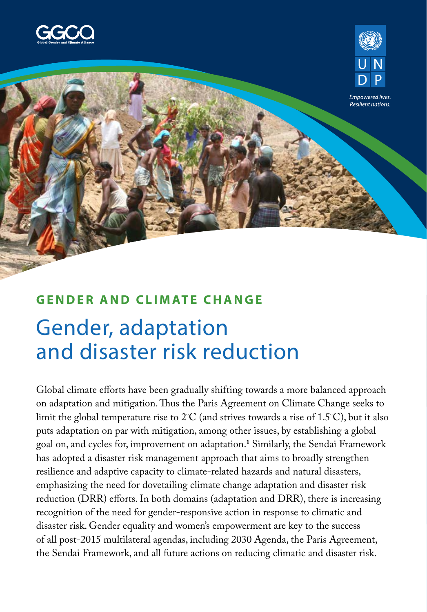



Empowered live: Resilient nations.

### **GENDER AND CLIMATE CHANGE**

# Gender, adaptation and disaster risk reduction

Global climate efforts have been gradually shifting towards a more balanced approach on adaptation and mitigation. Thus the Paris Agreement on Climate Change seeks to limit the global temperature rise to 2˚C (and strives towards a rise of 1.5˚C), but it also puts adaptation on par with mitigation, among other issues, by establishing a global goal on, and cycles for, improvement on adaptation.**<sup>1</sup>** Similarly, the Sendai Framework has adopted a disaster risk management approach that aims to broadly strengthen resilience and adaptive capacity to climate-related hazards and natural disasters, emphasizing the need for dovetailing climate change adaptation and disaster risk reduction (DRR) efforts. In both domains (adaptation and DRR), there is increasing recognition of the need for gender-responsive action in response to climatic and disaster risk. Gender equality and women's empowerment are key to the success of all post-2015 multilateral agendas, including 2030 Agenda, the Paris Agreement, the Sendai Framework, and all future actions on reducing climatic and disaster risk.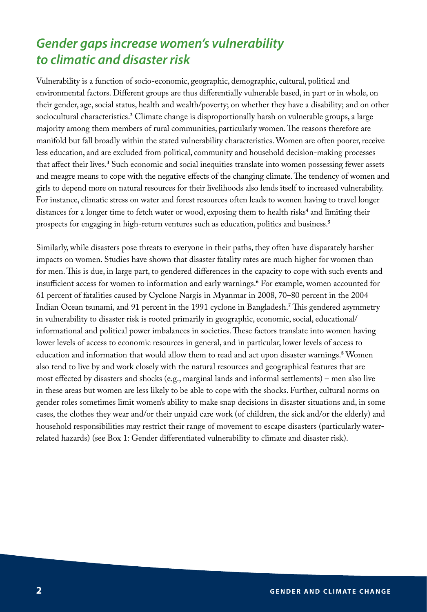### *Gender gaps increase women's vulnerability to climatic and disaster risk*

Vulnerability is a function of socio-economic, geographic, demographic, cultural, political and environmental factors. Different groups are thus differentially vulnerable based, in part or in whole, on their gender, age, social status, health and wealth/poverty; on whether they have a disability; and on other sociocultural characteristics.**<sup>2</sup>** Climate change is disproportionally harsh on vulnerable groups, a large majority among them members of rural communities, particularly women. The reasons therefore are manifold but fall broadly within the stated vulnerability characteristics. Women are often poorer, receive less education, and are excluded from political, community and household decision-making processes that affect their lives.**<sup>3</sup>** Such economic and social inequities translate into women possessing fewer assets and meagre means to cope with the negative effects of the changing climate. The tendency of women and girls to depend more on natural resources for their livelihoods also lends itself to increased vulnerability. For instance, climatic stress on water and forest resources often leads to women having to travel longer distances for a longer time to fetch water or wood, exposing them to health risks**<sup>4</sup>** and limiting their prospects for engaging in high-return ventures such as education, politics and business.**<sup>5</sup>**

Similarly, while disasters pose threats to everyone in their paths, they often have disparately harsher impacts on women. Studies have shown that disaster fatality rates are much higher for women than for men. This is due, in large part, to gendered differences in the capacity to cope with such events and insufficient access for women to information and early warnings.**<sup>6</sup>** For example, women accounted for 61 percent of fatalities caused by Cyclone Nargis in Myanmar in 2008, 70–80 percent in the 2004 Indian Ocean tsunami, and 91 percent in the 1991 cyclone in Bangladesh.**<sup>7</sup>** This gendered asymmetry in vulnerability to disaster risk is rooted primarily in geographic, economic, social, educational/ informational and political power imbalances in societies. These factors translate into women having lower levels of access to economic resources in general, and in particular, lower levels of access to education and information that would allow them to read and act upon disaster warnings.**<sup>8</sup>** Women also tend to live by and work closely with the natural resources and geographical features that are most effected by disasters and shocks (e.g., marginal lands and informal settlements) – men also live in these areas but women are less likely to be able to cope with the shocks. Further, cultural norms on gender roles sometimes limit women's ability to make snap decisions in disaster situations and, in some cases, the clothes they wear and/or their unpaid care work (of children, the sick and/or the elderly) and household responsibilities may restrict their range of movement to escape disasters (particularly waterrelated hazards) (see Box 1: Gender differentiated vulnerability to climate and disaster risk).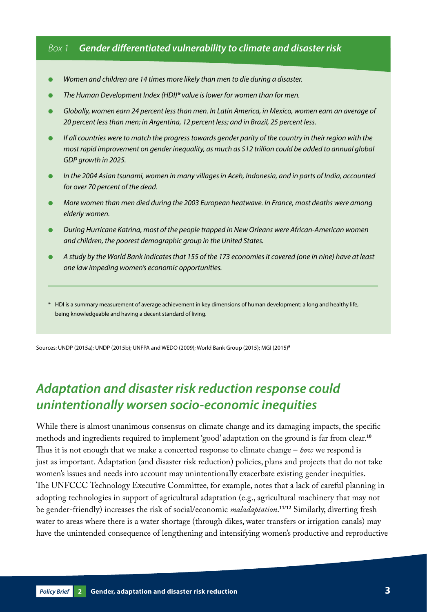### *Box 1 Gender differentiated vulnerability to climate and disaster risk*

- Women and children are 14 times more likely than men to die during a disaster.
- The Human Development Index (HDI)\* value is lower for women than for men.
- Globally, women earn 24 percent less than men. In Latin America, in Mexico, women earn an average of *20 percent less than men; in Argentina, 12 percent less; and in Brazil, 25 percent less.*
- *If all countries were to match the progress towards gender parity of the country in their region with the most rapid improvement on gender inequality, as much as \$12 trillion could be added to annual global GDP growth in 2025.*
- *In the 2004 Asian tsunami, women in many villages in Aceh, Indonesia, and in parts of India, accounted for over 70 percent of the dead.*
- *More women than men died during the 2003 European heatwave. In France, most deaths were among elderly women.*
- *During Hurricane Katrina, most of the people trapped in New Orleans were African-American women and children, the poorest demographic group in the United States.*
- *A study by the World Bank indicates that 155 of the 173 economies it covered (one in nine) have at least one law impeding women's economic opportunities.*
- \* HDI is a summary measurement of average achievement in key dimensions of human development: a long and healthy life, being knowledgeable and having a decent standard of living.

Sources: UNDP (2015a); UNDP (2015b); UNFPA and WEDO (2009); World Bank Group (2015); MGI (2015)**<sup>9</sup>**

### *Adaptation and disaster risk reduction response could unintentionally worsen socio-economic inequities*

While there is almost unanimous consensus on climate change and its damaging impacts, the specific methods and ingredients required to implement 'good' adaptation on the ground is far from clear.**<sup>10</sup>** Thus it is not enough that we make a concerted response to climate change – *how* we respond is just as important. Adaptation (and disaster risk reduction) policies, plans and projects that do not take women's issues and needs into account may unintentionally exacerbate existing gender inequities. The UNFCCC Technology Executive Committee, for example, notes that a lack of careful planning in adopting technologies in support of agricultural adaptation (e.g., agricultural machinery that may not be gender-friendly) increases the risk of social/economic *maladaptation*. **11/12** Similarly, diverting fresh water to areas where there is a water shortage (through dikes, water transfers or irrigation canals) may have the unintended consequence of lengthening and intensifying women's productive and reproductive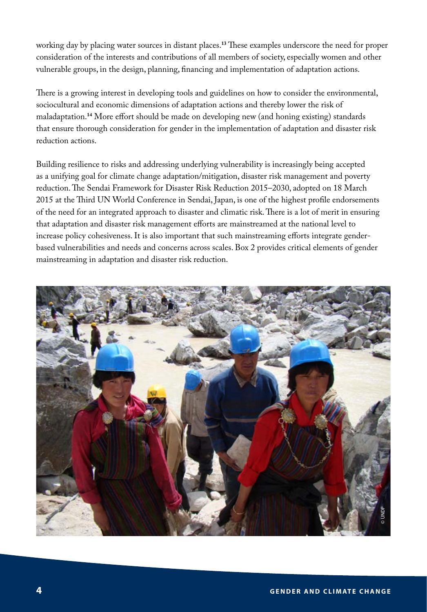working day by placing water sources in distant places.**<sup>13</sup>** These examples underscore the need for proper consideration of the interests and contributions of all members of society, especially women and other vulnerable groups, in the design, planning, financing and implementation of adaptation actions.

There is a growing interest in developing tools and guidelines on how to consider the environmental, sociocultural and economic dimensions of adaptation actions and thereby lower the risk of maladaptation.**<sup>14</sup>** More effort should be made on developing new (and honing existing) standards that ensure thorough consideration for gender in the implementation of adaptation and disaster risk reduction actions.

Building resilience to risks and addressing underlying vulnerability is increasingly being accepted as a unifying goal for climate change adaptation/mitigation, disaster risk management and poverty reduction. The Sendai Framework for Disaster Risk Reduction 2015–2030, adopted on 18 March 2015 at the Third UN World Conference in Sendai, Japan, is one of the highest profile endorsements of the need for an integrated approach to disaster and climatic risk. There is a lot of merit in ensuring that adaptation and disaster risk management efforts are mainstreamed at the national level to increase policy cohesiveness. It is also important that such mainstreaming efforts integrate genderbased vulnerabilities and needs and concerns across scales. Box 2 provides critical elements of gender mainstreaming in adaptation and disaster risk reduction.

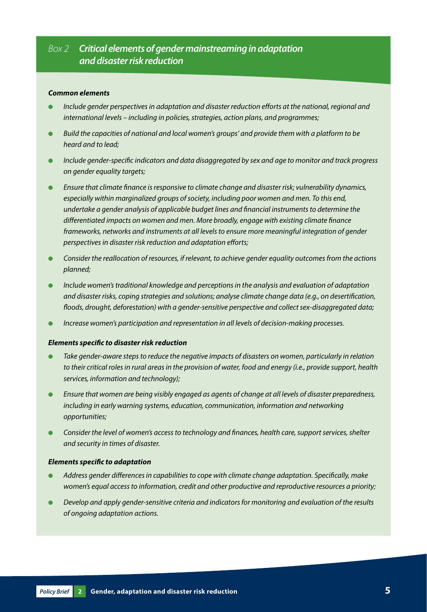### *Box 2 Critical elements of gender mainstreaming in adaptation and disaster risk reduction*

#### *Common elements*

- *Include gender perspectives in adaptation and disaster reduction efforts at the national, regional and international levels – including in policies, strategies, action plans, and programmes;*
- Build the capacities of national and local women's groups' and provide them with a platform to be *heard and to lead;*
- *Include gender-specific indicators and data disaggregated by sex and age to monitor and track progress on gender equality targets;*
- *Ensure that climate finance is responsive to climate change and disaster risk; vulnerability dynamics, especially within marginalized groups of society, including poor women and men. To this end, undertake a gender analysis of applicable budget lines and financial instruments to determine the differentiated impacts on women and men. More broadly, engage with existing climate finance frameworks, networks and instruments at all levels to ensure more meaningful integration of gender perspectives in disaster risk reduction and adaptation efforts;*
- *Consider the reallocation of resources, if relevant, to achieve gender equality outcomes from the actions planned;*
- *Include women's traditional knowledge and perceptions in the analysis and evaluation of adaptation and disaster risks, coping strategies and solutions; analyse climate change data (e.g., on desertification, floods, drought, deforestation) with a gender-sensitive perspective and collect sex-disaggregated data;*
- *Increase women's participation and representation in all levels of decision-making processes.*

#### *Elements specific to disaster risk reduction*

- Take gender-aware steps to reduce the negative impacts of disasters on women, particularly in relation *to their critical roles in rural areas in the provision of water, food and energy (i.e., provide support, health services, information and technology);*
- *Ensure that women are being visibly engaged as agents of change at all levels of disaster preparedness, including in early warning systems, education, communication, information and networking opportunities;*
- *Consider the level of women's access to technology and finances, health care, support services, shelter and security in times of disaster.*

#### *Elements specific to adaptation*

- Address gender differences in capabilities to cope with climate change adaptation. Specifically, make *women's equal access to information, credit and other productive and reproductive resources a priority;*
- *Develop and apply gender-sensitive criteria and indicators for monitoring and evaluation of the results of ongoing adaptation actions.*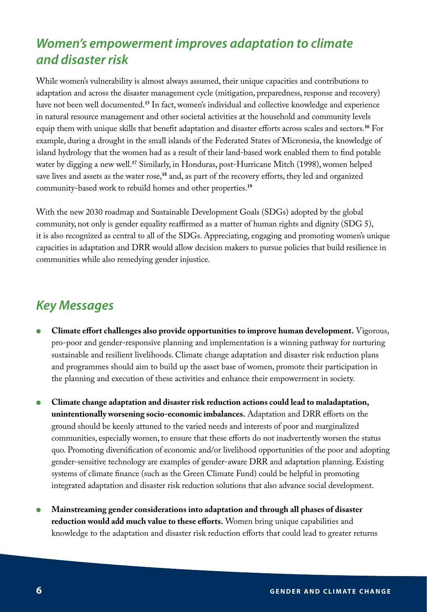# *Women's empowerment improves adaptation to climate and disaster risk*

While women's vulnerability is almost always assumed, their unique capacities and contributions to adaptation and across the disaster management cycle (mitigation, preparedness, response and recovery) have not been well documented.**<sup>15</sup>** In fact, women's individual and collective knowledge and experience in natural resource management and other societal activities at the household and community levels equip them with unique skills that benefit adaptation and disaster efforts across scales and sectors.**<sup>16</sup>** For example, during a drought in the small islands of the Federated States of Micronesia, the knowledge of island hydrology that the women had as a result of their land-based work enabled them to find potable water by digging a new well.**<sup>17</sup>** Similarly, in Honduras, post-Hurricane Mitch (1998), women helped save lives and assets as the water rose,**<sup>18</sup>** and, as part of the recovery efforts, they led and organized community-based work to rebuild homes and other properties.**<sup>19</sup>**

With the new 2030 roadmap and Sustainable Development Goals (SDGs) adopted by the global community, not only is gender equality reaffirmed as a matter of human rights and dignity (SDG 5), it is also recognized as central to all of the SDGs. Appreciating, engaging and promoting women's unique capacities in adaptation and DRR would allow decision makers to pursue policies that build resilience in communities while also remedying gender injustice.

## *Key Messages*

- **Climate effort challenges also provide opportunities to improve human development.** Vigorous, pro-poor and gender-responsive planning and implementation is a winning pathway for nurturing sustainable and resilient livelihoods. Climate change adaptation and disaster risk reduction plans and programmes should aim to build up the asset base of women, promote their participation in the planning and execution of these activities and enhance their empowerment in society.
- **Climate change adaptation and disaster risk reduction actions could lead to maladaptation, unintentionally worsening socio-economic imbalances.** Adaptation and DRR efforts on the ground should be keenly attuned to the varied needs and interests of poor and marginalized communities, especially women, to ensure that these efforts do not inadvertently worsen the status quo. Promoting diversification of economic and/or livelihood opportunities of the poor and adopting gender-sensitive technology are examples of gender-aware DRR and adaptation planning. Existing systems of climate finance (such as the Green Climate Fund) could be helpful in promoting integrated adaptation and disaster risk reduction solutions that also advance social development.
- **Mainstreaming gender considerations into adaptation and through all phases of disaster reduction would add much value to these efforts.** Women bring unique capabilities and knowledge to the adaptation and disaster risk reduction efforts that could lead to greater returns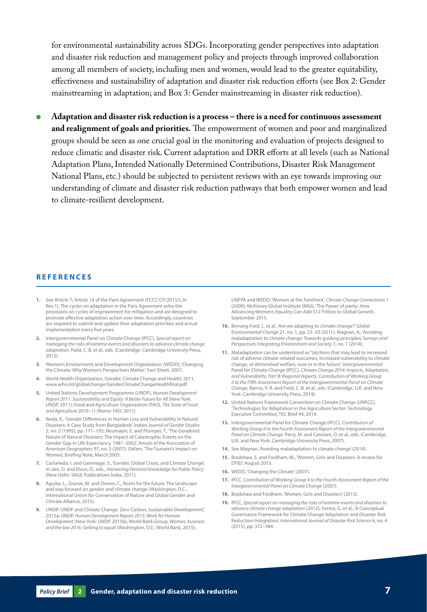for environmental sustainability across SDGs. Incorporating gender perspectives into adaptation and disaster risk reduction and management policy and projects through improved collaboration among all members of society, including men and women, would lead to the greater equitability, effectiveness and sustainability of adaptation and disaster risk reduction efforts (see Box 2: Gender mainstreaming in adaptation; and Box 3: Gender mainstreaming in disaster risk reduction).

● **Adaptation and disaster risk reduction is a process – there is a need for continuous assessment and realignment of goals and priorities.** The empowerment of women and poor and marginalized groups should be seen as one crucial goal in the monitoring and evaluation of projects designed to reduce climatic and disaster risk. Current adaptation and DRR efforts at all levels (such as National Adaptation Plans, Intended Nationally Determined Contributions, Disaster Risk Management National Plans, etc.) should be subjected to persistent reviews with an eye towards improving our understanding of climate and disaster risk reduction pathways that both empower women and lead to climate-resilient development.

#### **REFERENCES**

- **1.** See Article 7; Article 14 of the Paris Agreement (FCCC/CP/2015/L.9/ Rev.1). The cycles on adaptation in the Paris Agreement echo the provisions on cycles of improvement for mitigation and are designed to promote effective adaptation action over time. Accordingly, countries are required to submit and update their adaptation priorities and actual implementation every five years.
- **2.** Intergovernmental Panel on Climate Change (IPCC), *Special report on managing the risks of extreme events and disasters to advance climate change adaptation*, Field, C. B. et al., eds. (Cambridge: Cambridge University Press, 2012).
- **3.** Women's Environment and Development Organization (WEDO), 'Changing the Climate: Why Women's Perspectives Matter', Fact Sheet, 2007.
- **4.** World Health Organization, 'Gender, Climate Change and Health', 2011, www.who.int/globalchange/GenderClimateChangeHealthfinal.pdf.
- **5.** United Nations Development Programme (UNDP), *Human Development Report 2011. Sustainability and Equity: A Better Future for All* (New York: UNDP, 2011); Food and Agriculture Organization (FAO), *The State of Food and Agriculture 2010–11* (Rome: FAO, 2011).
- **6.** Ikeda, K., 'Gender Differences in Human Loss and Vulnerability in Natural Disasters: A Case Study from Bangladesh', *Indian Journal of Gender Studies* 2, no. 2 (1995), pp. 171–193; Neumayer, E. and Plümper, T., 'The Gendered Nature of Natural Disasters: The Impact of Catastrophic Events on the Gender Gap in Life Expectancy, 1981–2002', *Annals of the Association of American Geographers* 97, no. 3 (2007); Oxfam, 'The Tsunami's Impact on Women', Briefing Note, March 2005.
- **7.** Castañeda, I. and Gammage, S., 'Gender, Global Crises, and Climate Change', in Jain, D. and Elson, D., eds., *Harvesting Feminist Knowledge for Public Policy* (New Delhi: SAGE Publications India, 2011).
- **8.** Aguilar, L., Granat, M. and Owren, C., Roots for the future: The landscape and way forward on gender and climate change (Washington, D.C.: International Union for Conservation of Nature and Global Gender and Climate Alliance, 2015).
- **9.** UNDP, 'UNDP and Climate Change: Zero Carbon, Sustainable Development', 2015a; UNDP, *Human Development Report 2015: Work for Human Development* (New York: UNDP, 2015b); World Bank Group, *Women, business and the law 2016: Getting to equal* (Washington, D.C.: World Bank, 2015);

UNFPA and WEDO, 'Women at the Forefront', *Climate Change Connections* 1 (2009); McKinsey Global Institute (MGI), 'The Power of parity: How Advancing Women's Equality Can Add \$12 Trillion to Global Growth,' September 2015.

- **10.** Berrang-Ford, L. et al., 'Are we adapting to climate change?' *Global Environmental Change* 21, no. 1, pp. 25–33 (2011); Magnan, A., 'Avoiding maladaptation to climate change: Towards guiding principles,' *Surveys and Perspectives Integrating Environment and Society* 7, no. 1 (2014).
- **11.** Maladaptation can be understood as "(a)ctions that may lead to increased risk of adverse climate-related outcomes, increased vulnerability to climate change, or diminished welfare, now or in the future", Intergovernmental Panel for Climate Change (IPCC), *Climate Change 2014: Impacts, Adaptation, and Vulnerability. Part B: Regional Aspects. Contribution of Working Group II to the Fifth Assessment Report of the Intergovernmental Panel on Climate Change*, Barros, V. R. and Field, C. B. et al., eds. (Cambridge, U.K. and New York: Cambridge University Press, 2014).
- **12.** United Nations Framework Convention on Climate Change (UNFCC), 'Technologies for Adaptation in the Agriculture Sector: Technology Executive Committee', TEC Brief #4, 2014.
- **13.** Intergovernmental Panel for Climate Change (IPCC), *Contribution of Working Group II to the Fourth Assessment Report of the Intergovernmental Panel on Climate Change*, Parry, M. and Canziani, O. et al., eds. (Cambridge, U.K. and New York: Cambridge University Press, 2007).
- **14.** See Magnan, 'Avoiding maladaptation to climate change' (2014).
- **15.** Bradshaw, S. and Fordham, M., 'Women, Girls and Disasters: A review for DFID', August 2013.
- **16.** WEDO, 'Changing the Climate' (2007).
- **17.** IPCC, *Contribution of Working Group II to the Fourth Assessment Report of the Intergovernmental Panel on Climate Change* (2007).
- **18.** Bradshaw and Fordham, 'Women, Girls and Disasters' (2013).
- **19.** IPCC, *Special report on managing the risks of extreme events and disasters to advance climate change adaptation* (2012); Forino, G. et al., 'A Conceptual Governance Framework for Climate Change Adaptation and Disaster Risk Reduction Integration', *International Journal of Disaster Risk Science* 6, no. 4 (2015), pp. 372–384.